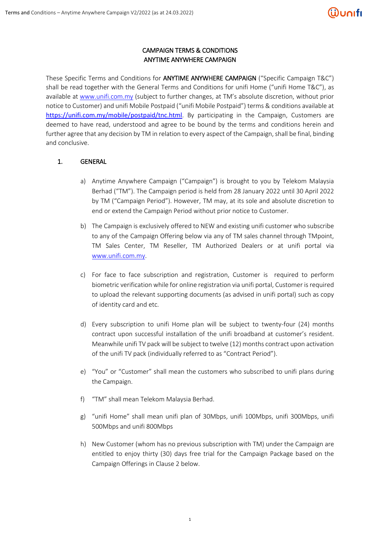### CAMPAIGN TERMS & CONDITIONS ANYTIME ANYWHERE CAMPAIGN

These Specific Terms and Conditions for ANYTIME ANYWHERE CAMPAIGN ("Specific Campaign T&C") shall be read together with the General Terms and Conditions for unifi Home ("unifi Home T&C"), as available at [www.unifi.com.my](http://www.unifi.com.my/) (subject to further changes, at TM's absolute discretion, without prior notice to Customer) and unifi Mobile Postpaid ("unifi Mobile Postpaid") terms & conditions available at <https://unifi.com.my/mobile/postpaid/tnc.html>. By participating in the Campaign, Customers are deemed to have read, understood and agree to be bound by the terms and conditions herein and further agree that any decision by TM in relation to every aspect of the Campaign, shall be final, binding and conclusive.

### 1. GENERAL

- a) Anytime Anywhere Campaign ("Campaign") is brought to you by Telekom Malaysia Berhad ("TM"). The Campaign period is held from 28 January 2022 until 30 April 2022 by TM ("Campaign Period"). However, TM may, at its sole and absolute discretion to end or extend the Campaign Period without prior notice to Customer.
- b) The Campaign is exclusively offered to NEW and existing unifi customer who subscribe to any of the Campaign Offering below via any of TM sales channel through TMpoint, TM Sales Center, TM Reseller, TM Authorized Dealers or at unifi portal via [www.unifi.com.my.](http://www.unifi.com.my/)
- c) For face to face subscription and registration, Customer is required to perform biometric verification while for online registration via unifi portal, Customer is required to upload the relevant supporting documents (as advised in unifi portal) such as copy of identity card and etc.
- d) Every subscription to unifi Home plan will be subject to twenty-four (24) months contract upon successful installation of the unifi broadband at customer's resident. Meanwhile unifi TV pack will be subject to twelve (12) months contract upon activation of the unifi TV pack (individually referred to as "Contract Period").
- e) "You" or "Customer" shall mean the customers who subscribed to unifi plans during the Campaign.
- f) "TM" shall mean Telekom Malaysia Berhad.
- g) "unifi Home" shall mean unifi plan of 30Mbps, unifi 100Mbps, unifi 300Mbps, unifi 500Mbps and unifi 800Mbps
- h) New Customer (whom has no previous subscription with TM) under the Campaign are entitled to enjoy thirty (30) days free trial for the Campaign Package based on the Campaign Offerings in Clause 2 below.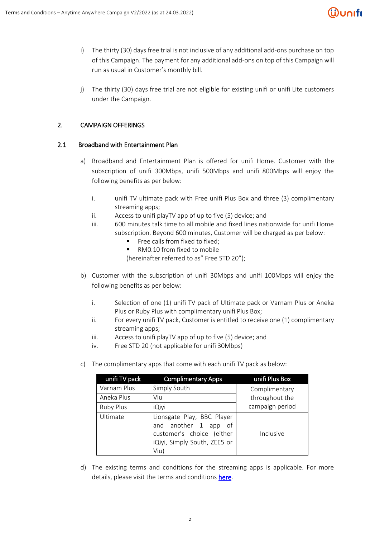## ີເຟີບດເfເ

- i) The thirty (30) days free trial is not inclusive of any additional add-ons purchase on top of this Campaign. The payment for any additional add-ons on top of this Campaign will run as usual in Customer's monthly bill.
- j) The thirty (30) days free trial are not eligible for existing unifi or unifi Lite customers under the Campaign.

### 2. CAMPAIGN OFFERINGS

#### 2.1 Broadband with Entertainment Plan

- a) Broadband and Entertainment Plan is offered for unifi Home. Customer with the subscription of unifi 300Mbps, unifi 500Mbps and unifi 800Mbps will enjoy the following benefits as per below:
	- i. unifi TV ultimate pack with Free unifi Plus Box and three (3) complimentary streaming apps;
	- ii. Access to unifi playTV app of up to five (5) device; and
	- iii. 600 minutes talk time to all mobile and fixed lines nationwide for unifi Home subscription. Beyond 600 minutes, Customer will be charged as per below:
		- Free calls from fixed to fixed:
		- RM0.10 from fixed to mobile

(hereinafter referred to as" Free STD 20");

- b) Customer with the subscription of unifi 30Mbps and unifi 100Mbps will enjoy the following benefits as per below:
	- i. Selection of one (1) unifi TV pack of Ultimate pack or Varnam Plus or Aneka Plus or Ruby Plus with complimentary unifi Plus Box;
	- ii. For every unifi TV pack, Customer is entitled to receive one (1) complimentary streaming apps;
	- iii. Access to unifi playTV app of up to five (5) device; and
	- iv. Free STD 20 (not applicable for unifi 30Mbps)
- c) The complimentary apps that come with each unifi TV pack as below:

| unifi TV pack    | <b>Complimentary Apps</b>                                                                                               | unifi Plus Box  |  |
|------------------|-------------------------------------------------------------------------------------------------------------------------|-----------------|--|
| Varnam Plus      | Simply South                                                                                                            | Complimentary   |  |
| Aneka Plus       | Viu                                                                                                                     | throughout the  |  |
| <b>Ruby Plus</b> | iQiyi                                                                                                                   | campaign period |  |
| Ultimate         | Lionsgate Play, BBC Player<br>and another 1 app of<br>customer's choice (either<br>iQiyi, Simply South, ZEE5 or<br>Viu) | Inclusive       |  |

d) The existing terms and conditions for the streaming apps is applicable. For more details, please visit the terms and conditions [here.](https://unifi.com.my/tv/sites/default/files/2021-11/tnc.pdf)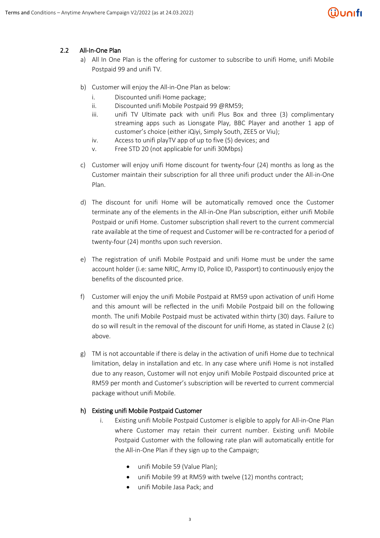# <u>Wunıfı</u>

## 2.2 All-In-One Plan

- a) All In One Plan is the offering for customer to subscribe to unifi Home, unifi Mobile Postpaid 99 and unifi TV.
- b) Customer will enjoy the All-in-One Plan as below:
	- i. Discounted unifi Home package;
	- ii. Discounted unifi Mobile Postpaid 99 @RM59;
	- iii. unifi TV Ultimate pack with unifi Plus Box and three (3) complimentary streaming apps such as Lionsgate Play, BBC Player and another 1 app of customer's choice (either iQiyi, Simply South, ZEE5 or Viu);
	- iv. Access to unifi playTV app of up to five (5) devices; and
	- v. Free STD 20 (not applicable for unifi 30Mbps)
- c) Customer will enjoy unifi Home discount for twenty-four (24) months as long as the Customer maintain their subscription for all three unifi product under the All-in-One Plan.
- d) The discount for unifi Home will be automatically removed once the Customer terminate any of the elements in the All-in-One Plan subscription, either unifi Mobile Postpaid or unifi Home. Customer subscription shall revert to the current commercial rate available at the time of request and Customer will be re-contracted for a period of twenty-four (24) months upon such reversion.
- e) The registration of unifi Mobile Postpaid and unifi Home must be under the same account holder (i.e: same NRIC, Army ID, Police ID, Passport) to continuously enjoy the benefits of the discounted price.
- f) Customer will enjoy the unifi Mobile Postpaid at RM59 upon activation of unifi Home and this amount will be reflected in the unifi Mobile Postpaid bill on the following month. The unifi Mobile Postpaid must be activated within thirty (30) days. Failure to do so will result in the removal of the discount for unifi Home, as stated in Clause 2 (c) above.
- g) TM is not accountable if there is delay in the activation of unifi Home due to technical limitation, delay in installation and etc. In any case where unifi Home is not installed due to any reason, Customer will not enjoy unifi Mobile Postpaid discounted price at RM59 per month and Customer's subscription will be reverted to current commercial package without unifi Mobile.

## h) Existing unifi Mobile Postpaid Customer

- i. Existing unifi Mobile Postpaid Customer is eligible to apply for All-in-One Plan where Customer may retain their current number. Existing unifi Mobile Postpaid Customer with the following rate plan will automatically entitle for the All-in-One Plan if they sign up to the Campaign;
	- unifi Mobile 59 (Value Plan);
	- unifi Mobile 99 at RM59 with twelve (12) months contract;
	- unifi Mobile Jasa Pack; and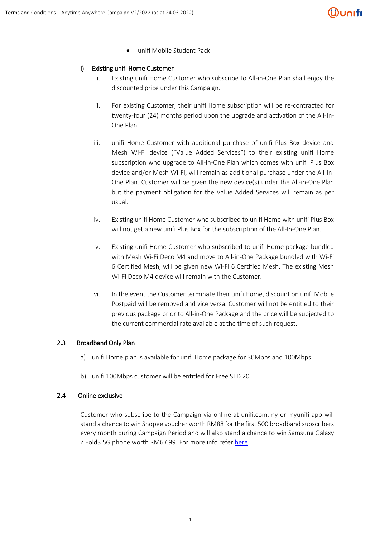# ີເຟີບດເfເ

unifi Mobile Student Pack

#### i) Existing unifi Home Customer

- i. Existing unifi Home Customer who subscribe to All-in-One Plan shall enjoy the discounted price under this Campaign.
- ii. For existing Customer, their unifi Home subscription will be re-contracted for twenty-four (24) months period upon the upgrade and activation of the All-In-One Plan.
- iii. unifi Home Customer with additional purchase of unifi Plus Box device and Mesh Wi-Fi device ("Value Added Services") to their existing unifi Home subscription who upgrade to All-in-One Plan which comes with unifi Plus Box device and/or Mesh Wi-Fi, will remain as additional purchase under the All-in-One Plan. Customer will be given the new device(s) under the All-in-One Plan but the payment obligation for the Value Added Services will remain as per usual.
- iv. Existing unifi Home Customer who subscribed to unifi Home with unifi Plus Box will not get a new unifi Plus Box for the subscription of the All-In-One Plan.
- v. Existing unifi Home Customer who subscribed to unifi Home package bundled with Mesh Wi-Fi Deco M4 and move to All-in-One Package bundled with Wi-Fi 6 Certified Mesh, will be given new Wi-Fi 6 Certified Mesh. The existing Mesh Wi-Fi Deco M4 device will remain with the Customer.
- vi. In the event the Customer terminate their unifi Home, discount on unifi Mobile Postpaid will be removed and vice versa. Customer will not be entitled to their previous package prior to All-in-One Package and the price will be subjected to the current commercial rate available at the time of such request.

#### 2.3 Broadband Only Plan

- a) unifi Home plan is available for unifi Home package for 30Mbps and 100Mbps.
- b) unifi 100Mbps customer will be entitled for Free STD 20.

#### 2.4 Online exclusive

Customer who subscribe to the Campaign via online at unifi.com.my or myunifi app will stand a chance to win Shopee voucher worth RM88 for the first 500 broadband subscribers every month during Campaign Period and will also stand a chance to win Samsung Galaxy Z Fold3 5G phone worth RM6,699. For more info refer [here.](https://unifi.com.my/sites/default/files/page/assets/pdf/fibre/FAQ-for-Online-Exclusive-Campaign_Voucher%2B5G-phone_Final.pdf)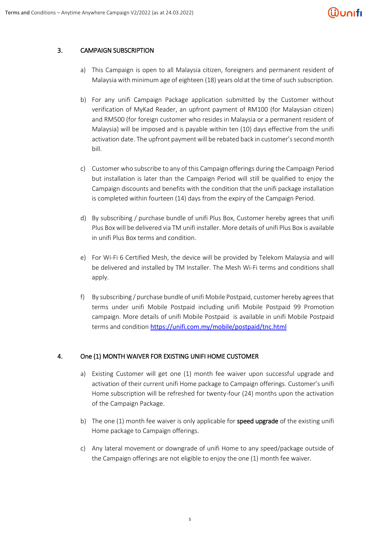# ີຟິບດເfເ

### 3. CAMPAIGN SUBSCRIPTION

- a) This Campaign is open to all Malaysia citizen, foreigners and permanent resident of Malaysia with minimum age of eighteen (18) years old at the time of such subscription.
- b) For any unifi Campaign Package application submitted by the Customer without verification of MyKad Reader, an upfront payment of RM100 (for Malaysian citizen) and RM500 (for foreign customer who resides in Malaysia or a permanent resident of Malaysia) will be imposed and is payable within ten (10) days effective from the unifi activation date. The upfront payment will be rebated back in customer's second month bill.
- c) Customer who subscribe to any of this Campaign offerings during the Campaign Period but installation is later than the Campaign Period will still be qualified to enjoy the Campaign discounts and benefits with the condition that the unifi package installation is completed within fourteen (14) days from the expiry of the Campaign Period.
- d) By subscribing / purchase bundle of unifi Plus Box, Customer hereby agrees that unifi Plus Box will be delivered via TM unifi installer. More details of unifi Plus Box is available in unifi Plus Box terms and condition.
- e) For Wi-Fi 6 Certified Mesh, the device will be provided by Telekom Malaysia and will be delivered and installed by TM Installer. The Mesh Wi-Fi terms and conditions shall apply.
- f) By subscribing / purchase bundle of unifi Mobile Postpaid, customer hereby agrees that terms under unifi Mobile Postpaid including unifi Mobile Postpaid 99 Promotion campaign. More details of unifi Mobile Postpaid is available in unifi Mobile Postpaid terms and condition <https://unifi.com.my/mobile/postpaid/tnc.html>

#### 4. One (1) MONTH WAIVER FOR EXISTING UNIFI HOME CUSTOMER

- a) Existing Customer will get one (1) month fee waiver upon successful upgrade and activation of their current unifi Home package to Campaign offerings. Customer's unifi Home subscription will be refreshed for twenty-four (24) months upon the activation of the Campaign Package.
- b) The one  $(1)$  month fee waiver is only applicable for **speed upgrade** of the existing unifi Home package to Campaign offerings.
- c) Any lateral movement or downgrade of unifi Home to any speed/package outside of the Campaign offerings are not eligible to enjoy the one (1) month fee waiver.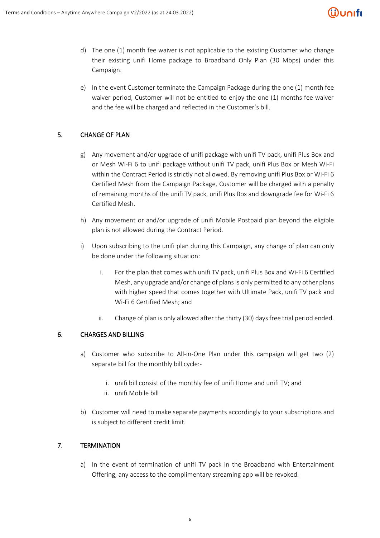

- d) The one (1) month fee waiver is not applicable to the existing Customer who change their existing unifi Home package to Broadband Only Plan (30 Mbps) under this Campaign.
- e) In the event Customer terminate the Campaign Package during the one (1) month fee waiver period, Customer will not be entitled to enjoy the one (1) months fee waiver and the fee will be charged and reflected in the Customer's bill.

## 5. CHANGE OF PLAN

- g) Any movement and/or upgrade of unifi package with unifi TV pack, unifi Plus Box and or Mesh Wi-Fi 6 to unifi package without unifi TV pack, unifi Plus Box or Mesh Wi-Fi within the Contract Period is strictly not allowed. By removing unifi Plus Box or Wi-Fi 6 Certified Mesh from the Campaign Package, Customer will be charged with a penalty of remaining months of the unifi TV pack, unifi Plus Box and downgrade fee for Wi-Fi 6 Certified Mesh.
- h) Any movement or and/or upgrade of unifi Mobile Postpaid plan beyond the eligible plan is not allowed during the Contract Period.
- i) Upon subscribing to the unifi plan during this Campaign, any change of plan can only be done under the following situation:
	- i. For the plan that comes with unifi TV pack, unifi Plus Box and Wi-Fi 6 Certified Mesh, any upgrade and/or change of plans is only permitted to any other plans with higher speed that comes together with Ultimate Pack, unifi TV pack and Wi-Fi 6 Certified Mesh; and
	- ii. Change of plan is only allowed after the thirty (30) daysfree trial period ended.

#### 6. CHARGES AND BILLING

- a) Customer who subscribe to All-in-One Plan under this campaign will get two (2) separate bill for the monthly bill cycle:
	- i. unifi bill consist of the monthly fee of unifi Home and unifi TV; and
	- ii. unifi Mobile bill
- b) Customer will need to make separate payments accordingly to your subscriptions and is subject to different credit limit.

## 7. TERMINATION

a) In the event of termination of unifi TV pack in the Broadband with Entertainment Offering, any access to the complimentary streaming app will be revoked.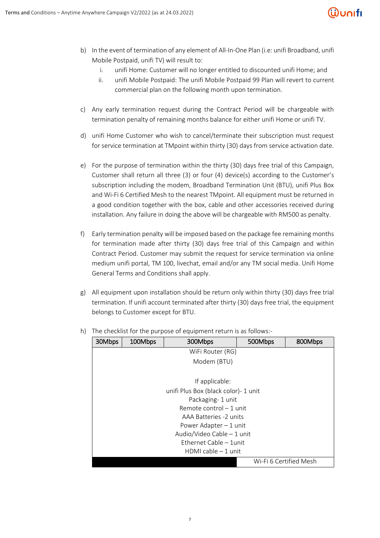# <u> Wunifi</u>

- b) In the event of termination of any element of All-In-One Plan (i.e: unifi Broadband, unifi Mobile Postpaid, unifi TV) will result to:
	- i. unifi Home: Customer will no longer entitled to discounted unifi Home; and
	- ii. unifi Mobile Postpaid: The unifi Mobile Postpaid 99 Plan will revert to current commercial plan on the following month upon termination.
- c) Any early termination request during the Contract Period will be chargeable with termination penalty of remaining months balance for either unifi Home or unifi TV.
- d) unifi Home Customer who wish to cancel/terminate their subscription must request for service termination at TMpoint within thirty (30) days from service activation date.
- e) For the purpose of termination within the thirty (30) days free trial of this Campaign, Customer shall return all three (3) or four (4) device(s) according to the Customer's subscription including the modem, Broadband Termination Unit (BTU), unifi Plus Box and Wi-Fi 6 Certified Mesh to the nearest TMpoint. All equipment must be returned in a good condition together with the box, cable and other accessories received during installation. Any failure in doing the above will be chargeable with RM500 as penalty.
- f) Early termination penalty will be imposed based on the package fee remaining months for termination made after thirty (30) days free trial of this Campaign and within Contract Period. Customer may submit the request for service termination via online medium unifi portal, TM 100, livechat, email and/or any TM social media. Unifi Home General Terms and Conditions shall apply.
- g) All equipment upon installation should be return only within thirty (30) days free trial termination. If unifi account terminated after thirty (30) days free trial, the equipment belongs to Customer except for BTU.

| 30Mbps                                | 100Mbps          | 300Mbps     | 500Mbps | 800Mbps                |  |  |
|---------------------------------------|------------------|-------------|---------|------------------------|--|--|
|                                       | WiFi Router (RG) |             |         |                        |  |  |
|                                       |                  | Modem (BTU) |         |                        |  |  |
|                                       |                  |             |         |                        |  |  |
| If applicable:                        |                  |             |         |                        |  |  |
| unifi Plus Box (black color) - 1 unit |                  |             |         |                        |  |  |
| Packaging-1 unit                      |                  |             |         |                        |  |  |
| Remote control - 1 unit               |                  |             |         |                        |  |  |
| AAA Batteries -2 units                |                  |             |         |                        |  |  |
| Power Adapter $-1$ unit               |                  |             |         |                        |  |  |
| Audio/Video Cable - 1 unit            |                  |             |         |                        |  |  |
| Ethernet Cable - 1unit                |                  |             |         |                        |  |  |
| HDMI cable $-1$ unit                  |                  |             |         |                        |  |  |
|                                       |                  |             |         | Wi-Fi 6 Certified Mesh |  |  |

h) The checklist for the purpose of equipment return is as follows:-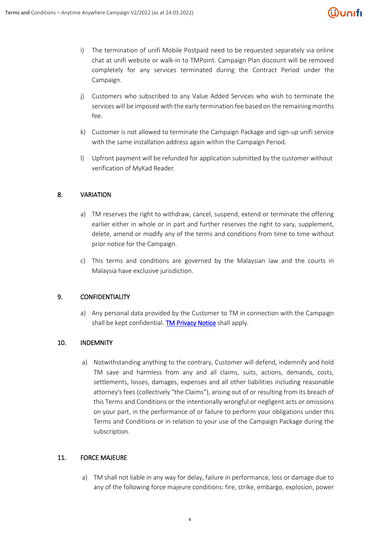## ີຟິບດເfເ

- i) The termination of unifi Mobile Postpaid need to be requested separately via online chat at unifi website or walk-in to TMPoint. Campaign Plan discount will be removed completely for any services terminated during the Contract Period under the Campaign.
- j) Customers who subscribed to any Value Added Services who wish to terminate the services will be imposed with the early termination fee based on the remaining months fee.
- k) Customer is not allowed to terminate the Campaign Package and sign-up unifi service with the same installation address again within the Campaign Period.
- l) Upfront payment will be refunded for application submitted by the customer without verification of MyKad Reader.

### 8. VARIATION

- a) TM reserves the right to withdraw, cancel, suspend, extend or terminate the offering earlier either in whole or in part and further reserves the right to vary, supplement, delete, amend or modify any of the terms and conditions from time to time without prior notice for the Campaign.
- c) This terms and conditions are governed by the Malaysian law and the courts in Malaysia have exclusive jurisdiction.

#### 9. CONFIDENTIALITY

a) Any personal data provided by the Customer to TM in connection with the Campaign shall be kept confidential. [TM Privacy Notice](https://unifi.com.my/mobile/postpaid/assets/doc/Privacy%20Statement.pdf) shall apply.

#### 10. INDEMNITY

a) Notwithstanding anything to the contrary, Customer will defend, indemnify and hold TM save and harmless from any and all claims, suits, actions, demands, costs, settlements, losses, damages, expenses and all other liabilities including reasonable attorney's fees (collectively "the Claims"), arising out of or resulting from its breach of this Terms and Conditions or the intentionally wrongful or negligent acts or omissions on your part, in the performance of or failure to perform your obligations under this Terms and Conditions or in relation to your use of the Campaign Package during the subscription.

#### 11. FORCE MAJEURE

a) TM shall not liable in any way for delay, failure in performance, loss or damage due to any of the following force majeure conditions: fire, strike, embargo, explosion, power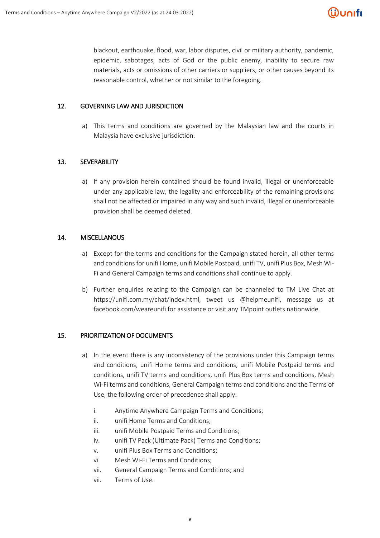blackout, earthquake, flood, war, labor disputes, civil or military authority, pandemic, epidemic, sabotages, acts of God or the public enemy, inability to secure raw materials, acts or omissions of other carriers or suppliers, or other causes beyond its reasonable control, whether or not similar to the foregoing.

#### 12. GOVERNING LAW AND JURISDICTION

a) This terms and conditions are governed by the Malaysian law and the courts in Malaysia have exclusive jurisdiction.

## 13. SEVERABILITY

a) If any provision herein contained should be found invalid, illegal or unenforceable under any applicable law, the legality and enforceability of the remaining provisions shall not be affected or impaired in any way and such invalid, illegal or unenforceable provision shall be deemed deleted.

### 14. MISCELLANOUS

- a) Except for the terms and conditions for the Campaign stated herein, all other terms and conditions for unifi Home, unifi Mobile Postpaid, unifi TV, unifi Plus Box, Mesh Wi-Fi and General Campaign terms and conditions shall continue to apply.
- b) Further enquiries relating to the Campaign can be channeled to TM Live Chat at https://unifi.com.my/chat/index.html, tweet us @helpmeunifi, message us at facebook.com/weareunifi for assistance or visit any TMpoint outlets nationwide.

#### 15. PRIORITIZATION OF DOCUMENTS

- a) In the event there is any inconsistency of the provisions under this Campaign terms and conditions, unifi Home terms and conditions, unifi Mobile Postpaid terms and conditions, unifi TV terms and conditions, unifi Plus Box terms and conditions, Mesh Wi-Fi terms and conditions, General Campaign terms and conditions and the Terms of Use, the following order of precedence shall apply:
	- i. Anytime Anywhere Campaign Terms and Conditions;
	- ii. unifi Home Terms and Conditions;
	- iii. unifi Mobile Postpaid Terms and Conditions;
	- iv. unifi TV Pack (Ultimate Pack) Terms and Conditions;
	- v. unifi Plus Box Terms and Conditions;
	- vi. Mesh Wi-Fi Terms and Conditions;
	- vii. General Campaign Terms and Conditions; and
	- vii. Terms of Use.